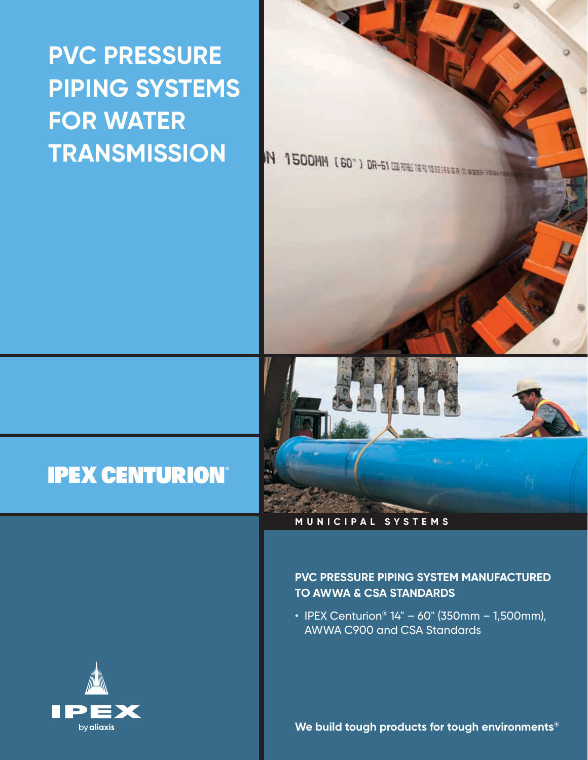# **PVC PRESSURE PIPING SYSTEMS FOR WATER TRANSMISSION**

IN 1500MM (60") DR-51 UNIVERSITY

# **IPEX CENTURION**



#### **MUNICIPAL SYSTEMS**

#### **PVC PRESSURE PIPING SYSTEM MANUFACTURED TO AWWA & CSA STANDARDS**

• IPEX Centurion®  $14" - 60"$  (350mm – 1,500mm), AWWA C900 and CSA Standards



**We build tough products for tough environments®**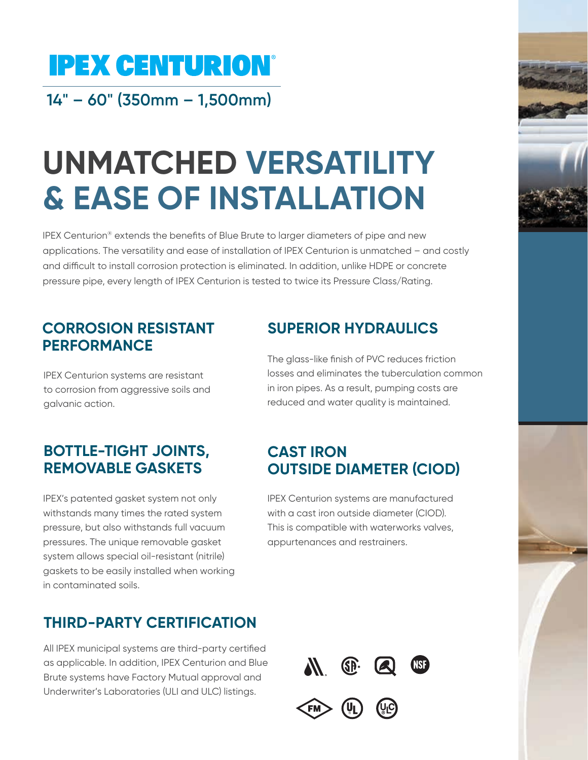# **IPEX CENTURION®**

**14" – 60" (350mm – 1,500mm)**

# **UNMATCHED VERSATILITY & EASE OF INSTALLATION**

IPEX Centurion<sup>®</sup> extends the benefits of Blue Brute to larger diameters of pipe and new applications. The versatility and ease of installation of IPEX Centurion is unmatched – and costly and difficult to install corrosion protection is eliminated. In addition, unlike HDPE or concrete pressure pipe, every length of IPEX Centurion is tested to twice its Pressure Class/Rating.

### **CORROSION RESISTANT PERFORMANCE**

IPEX Centurion systems are resistant to corrosion from aggressive soils and galvanic action.

### **BOTTLE-TIGHT JOINTS, REMOVABLE GASKETS**

IPEX's patented gasket system not only withstands many times the rated system pressure, but also withstands full vacuum pressures. The unique removable gasket system allows special oil-resistant (nitrile) gaskets to be easily installed when working in contaminated soils.

## **THIRD-PARTY CERTIFICATION**

All IPEX municipal systems are third-party certified as applicable. In addition, IPEX Centurion and Blue Brute systems have Factory Mutual approval and Underwriter's Laboratories (ULI and ULC) listings.

### **SUPERIOR HYDRAULICS**

The glass-like finish of PVC reduces friction losses and eliminates the tuberculation common in iron pipes. As a result, pumping costs are reduced and water quality is maintained.

### **CAST IRON OUTSIDE DIAMETER (CIOD)**

IPEX Centurion systems are manufactured with a cast iron outside diameter (CIOD). This is compatible with waterworks valves, appurtenances and restrainers.





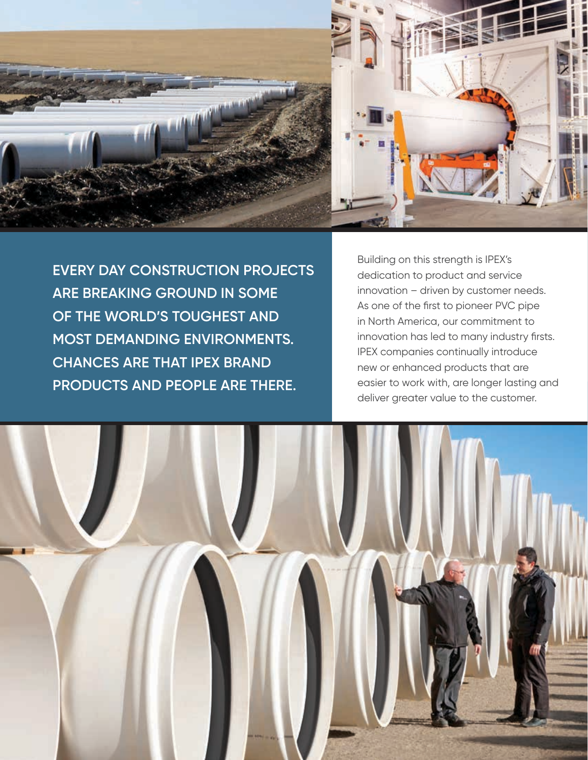

**EVERY DAY CONSTRUCTION PROJECTS ARE BREAKING GROUND IN SOME OF THE WORLD'S TOUGHEST AND MOST DEMANDING ENVIRONMENTS. CHANCES ARE THAT IPEX BRAND PRODUCTS AND PEOPLE ARE THERE.**

Building on this strength is IPEX's dedication to product and service innovation – driven by customer needs. As one of the first to pioneer PVC pipe in North America, our commitment to innovation has led to many industry firsts. IPEX companies continually introduce new or enhanced products that are easier to work with, are longer lasting and deliver greater value to the customer.

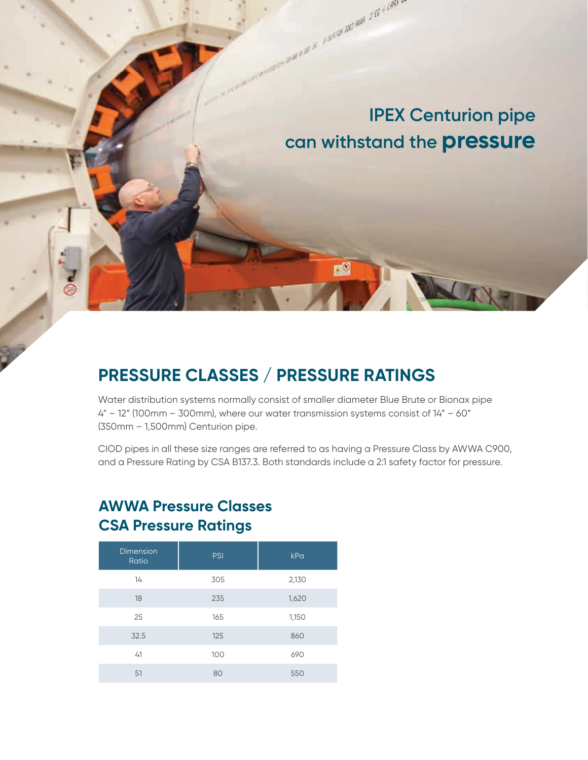

A CONTRACTORY AND A LONGITUDE AND AIR 215 × 1891 .

 $F^0$ 

### **PRESSURE CLASSES / PRESSURE RATINGS**

Water distribution systems normally consist of smaller diameter Blue Brute or Bionax pipe 4" – 12" (100mm – 300mm), where our water transmission systems consist of 14" – 60" (350mm – 1,500mm) Centurion pipe.

CIOD pipes in all these size ranges are referred to as having a Pressure Class by AWWA C900, and a Pressure Rating by CSA B137.3. Both standards include a 2:1 safety factor for pressure.

### **AWWA Pressure Classes CSA Pressure Ratings**

| <b>Dimension</b><br>Ratio | <b>PSI</b> | kPa   |
|---------------------------|------------|-------|
| 14                        | 305        | 2,130 |
| 18                        | 235        | 1,620 |
| 25                        | 165        | 1,150 |
| 32.5                      | 125        | 860   |
| 41                        | 100        | 690   |
| 51                        | 80         | 550   |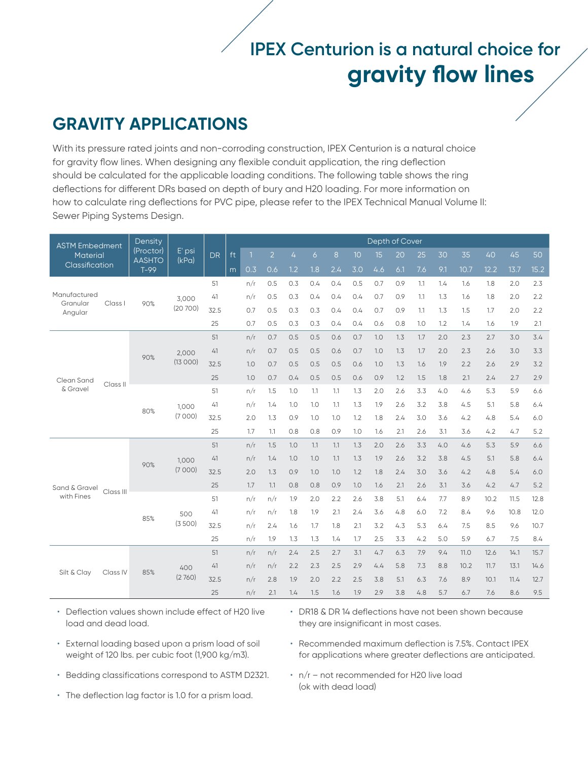# **IPEX Centurion is a natural choice for gravity flow lines**

### **GRAVITY APPLICATIONS**

With its pressure rated joints and non-corroding construction, IPEX Centurion is a natural choice for gravity flow lines. When designing any flexible conduit application, the ring deflection should be calculated for the applicable loading conditions. The following table shows the ring deflections for different DRs based on depth of bury and H20 loading. For more information on how to calculate ring deflections for PVC pipe, please refer to the IPEX Technical Manual Volume II: Sewer Piping Systems Design.

| <b>ASTM Embedment</b>  |           | Density                    |                 |           | Depth of Cover |     |                |     |     |     |     |     |     |     |     |      |      |      |      |
|------------------------|-----------|----------------------------|-----------------|-----------|----------------|-----|----------------|-----|-----|-----|-----|-----|-----|-----|-----|------|------|------|------|
| Material               |           | (Proctor)<br><b>AASHTO</b> | E' psi<br>(kPa) | <b>DR</b> | ft             | п   | $\overline{2}$ | 4   | 6   | 8   | 10  | 15  | 20  | 25  | 30  | 35   | 40   | 45   | 50   |
| <b>Classification</b>  |           | $T-99$                     |                 |           | m              | 0.3 | 0.6            | 1.2 | 1.8 | 2.4 | 3.0 | 4.6 | 6.1 | 7.6 | 9.1 | 10.7 | 12.2 | 13.7 | 15.2 |
|                        |           |                            |                 | 51        |                | n/r | 0.5            | 0.3 | 0.4 | 0.4 | 0.5 | 0.7 | 0.9 | 1.1 | 1.4 | 1.6  | 1.8  | 2.0  | 2.3  |
| Manufactured           |           |                            | 3,000           | 41        |                | n/r | 0.5            | 0.3 | 0.4 | 0.4 | 0.4 | 0.7 | 0.9 | 1.1 | 1.3 | 1.6  | 1.8  | 2.0  | 2.2  |
| Granular<br>Angular    | Class I   | 90%                        | (20700)         | 32.5      |                | 0.7 | 0.5            | 0.3 | 0.3 | 0.4 | 0.4 | 0.7 | 0.9 | 1.1 | 1.3 | 1.5  | 1.7  | 2.0  | 2.2  |
|                        |           |                            |                 | 25        |                | 0.7 | 0.5            | 0.3 | 0.3 | 0.4 | 0.4 | 0.6 | 0.8 | 1.0 | 1.2 | 1.4  | 1.6  | 1.9  | 2.1  |
|                        |           |                            |                 | 51        |                | n/r | 0.7            | 0.5 | 0.5 | 0.6 | 0.7 | 1.0 | 1.3 | 1.7 | 2.0 | 2.3  | 2.7  | 3.0  | 3.4  |
|                        |           |                            | 2.000           | 41        |                | n/r | 0.7            | 0.5 | 0.5 | 0.6 | 0.7 | 1.0 | 1.3 | 1.7 | 2.0 | 2.3  | 2.6  | 3.0  | 3.3  |
|                        | Class II  | 90%                        | (13000)         | 32.5      |                | 1.0 | 0.7            | 0.5 | 0.5 | 0.5 | 0.6 | 1.0 | 1.3 | 1.6 | 1.9 | 2.2  | 2.6  | 2.9  | 3.2  |
| Clean Sand<br>& Gravel |           |                            |                 | 25        |                | 1.0 | 0.7            | 0.4 | 0.5 | 0.5 | 0.6 | 0.9 | 1.2 | 1.5 | 1.8 | 2.1  | 2.4  | 2.7  | 2.9  |
|                        |           |                            |                 | 51        |                | n/r | 1.5            | 1.0 | 1.1 | 1.1 | 1.3 | 2.0 | 2.6 | 3.3 | 4.0 | 4.6  | 5.3  | 5.9  | 6.6  |
|                        |           |                            | 1.000           | 41        |                | n/r | 1.4            | 1.0 | 1.0 | 1.1 | 1.3 | 1.9 | 2.6 | 3.2 | 3.8 | 4.5  | 5.1  | 5.8  | 6.4  |
|                        |           | 80%                        | (7000)          | 32.5      |                | 2.0 | 1.3            | 0.9 | 1.0 | 1.0 | 1.2 | 1.8 | 2.4 | 3.0 | 3.6 | 4.2  | 4.8  | 5.4  | 6.0  |
|                        |           |                            |                 | 25        |                | 1.7 | 1.1            | 0.8 | 0.8 | 0.9 | 1.0 | 1.6 | 2.1 | 2.6 | 3.1 | 3.6  | 4.2  | 4.7  | 5.2  |
|                        |           | 90%                        | 1.000<br>(7000) | 51        |                | n/r | 1.5            | 1.0 | 1.1 | 1.1 | 1.3 | 2.0 | 2.6 | 3.3 | 4.0 | 4.6  | 5.3  | 5.9  | 6.6  |
|                        |           |                            |                 | 41        |                | n/r | 1.4            | 1.0 | 1.0 | 1.1 | 1.3 | 1.9 | 2.6 | 3.2 | 3.8 | 4.5  | 5.1  | 5.8  | 6.4  |
|                        |           |                            |                 | 32.5      |                | 2.0 | 1.3            | 0.9 | 1.0 | 1.0 | 1.2 | 1.8 | 2.4 | 3.0 | 3.6 | 4.2  | 4.8  | 5.4  | 6.0  |
| Sand & Gravel          |           |                            |                 | 25        |                | 1.7 | 1.1            | 0.8 | 0.8 | 0.9 | 1.0 | 1.6 | 2.1 | 2.6 | 3.1 | 3.6  | 4.2  | 4.7  | 5.2  |
| with Fines             | Class III |                            |                 | 51        |                | n/r | n/r            | 1.9 | 2.0 | 2.2 | 2.6 | 3.8 | 5.1 | 6.4 | 7.7 | 8.9  | 10.2 | 11.5 | 12.8 |
|                        |           |                            | 500             | 41        |                | n/r | n/r            | 1.8 | 1.9 | 2.1 | 2.4 | 3.6 | 4.8 | 6.0 | 7.2 | 8.4  | 9.6  | 10.8 | 12.0 |
|                        |           | 85%                        | (3500)          | 32.5      |                | n/r | 2.4            | 1.6 | 1.7 | 1.8 | 2.1 | 3.2 | 4.3 | 5.3 | 6.4 | 7.5  | 8.5  | 9.6  | 10.7 |
|                        |           |                            |                 | 25        |                | n/r | 1.9            | 1.3 | 1.3 | 1.4 | 1.7 | 2.5 | 3.3 | 4.2 | 5.0 | 5.9  | 6.7  | 7.5  | 8.4  |
|                        |           |                            |                 | 51        |                | n/r | n/r            | 2.4 | 2.5 | 2.7 | 3.1 | 4.7 | 6.3 | 7.9 | 9.4 | 11.0 | 12.6 | 14.1 | 15.7 |
|                        |           | 85%                        | 400             | 41        |                | n/r | n/r            | 2.2 | 2.3 | 2.5 | 2.9 | 4.4 | 5.8 | 7.3 | 8.8 | 10.2 | 11.7 | 13.1 | 14.6 |
| Silt & Clay            | Class IV  |                            | (2760)          | 32.5      |                | n/r | 2.8            | 1.9 | 2.0 | 2.2 | 2.5 | 3.8 | 5.1 | 6.3 | 7.6 | 8.9  | 10.1 | 11.4 | 12.7 |
|                        |           |                            |                 | 25        |                | n/r | 2.1            | 1.4 | 1.5 | 1.6 | 1.9 | 2.9 | 3.8 | 4.8 | 5.7 | 6.7  | 7.6  | 8.6  | 9.5  |

- Deflection values shown include effect of H20 live load and dead load.
- External loading based upon a prism load of soil weight of 120 lbs. per cubic foot (1,900 kg/m3).
- Bedding classifications correspond to ASTM D2321.
- The deflection lag factor is 1.0 for a prism load.
- DR18 & DR 14 deflections have not been shown because they are insignificant in most cases.
- Recommended maximum deflection is 7.5%. Contact IPEX for applications where greater deflections are anticipated.
- n/r not recommended for H20 live load (ok with dead load)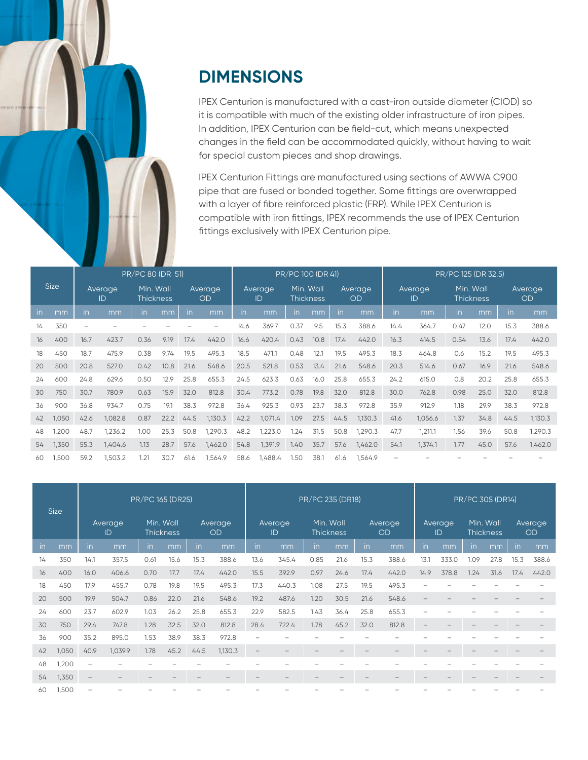

## **DIMENSIONS**

IPEX Centurion is manufactured with a cast-iron outside diameter (CIOD) so it is compatible with much of the existing older infrastructure of iron pipes. In addition, IPEX Centurion can be field-cut, which means unexpected changes in the field can be accommodated quickly, without having to wait for special custom pieces and shop drawings.

IPEX Centurion Fittings are manufactured using sections of AWWA C900 pipe that are fused or bonded together. Some fittings are overwrapped with a layer of fibre reinforced plastic (FRP). While IPEX Centurion is compatible with iron fittings, IPEX recommends the use of IPEX Centurion fittings exclusively with IPEX Centurion pipe.

|             |       | PR/PC 80 (DR 51) |         |                               |      |                      |         |               |         | PR/PC 100 (DR 41)             |      |                      |         | PR/PC 125 (DR 32.5) |         |                               |      |                      |         |
|-------------|-------|------------------|---------|-------------------------------|------|----------------------|---------|---------------|---------|-------------------------------|------|----------------------|---------|---------------------|---------|-------------------------------|------|----------------------|---------|
| <b>Size</b> |       | Average<br>ID    |         | Min. Wall<br><b>Thickness</b> |      | Average<br><b>OD</b> |         | Average<br>ID |         | Min. Wall<br><b>Thickness</b> |      | Average<br><b>OD</b> |         | Average<br>ID       |         | Min. Wall<br><b>Thickness</b> |      | Average<br><b>OD</b> |         |
| in.         | mm    | in               | mm      | in                            | mm   | in                   | mm      | in            | mm      | in                            | mm   | in                   | mm      | in                  | mm      | in                            | mm   | in                   | mm      |
| 14          | 350   |                  |         |                               |      |                      |         | 14.6          | 369.7   | 0.37                          | 9.5  | 15.3                 | 388.6   | 14.4                | 364.7   | 0.47                          | 12.0 | 15.3                 | 388.6   |
| 16          | 400   | 16.7             | 423.7   | 0.36                          | 9.19 | 17.4                 | 442.0   | 16.6          | 420.4   | 0.43                          | 10.8 | 17.4                 | 442.0   | 16.3                | 414.5   | 0.54                          | 13.6 | 17.4                 | 442.0   |
| 18          | 450   | 18.7             | 475.9   | 0.38                          | 9.74 | 19.5                 | 495.3   | 18.5          | 471.1   | 0.48                          | 12.1 | 19.5                 | 495.3   | 18.3                | 464.8   | 0.6                           | 15.2 | 19.5                 | 495.3   |
| 20          | 500   | 20.8             | 527.0   | 0.42                          | 10.8 | 21.6                 | 548.6   | 20.5          | 521.8   | 0.53                          | 13.4 | 21.6                 | 548.6   | 20.3                | 514.6   | 0.67                          | 16.9 | 21.6                 | 548.6   |
| 24          | 600   | 24.8             | 629.6   | 0.50                          | 12.9 | 25.8                 | 655.3   | 24.5          | 623.3   | 0.63                          | 16.0 | 25.8                 | 655.3   | 24.2                | 615.0   | 0.8                           | 20.2 | 25.8                 | 655.3   |
| 30          | 750   | 30.7             | 780.9   | 0.63                          | 15.9 | 32.0                 | 812.8   | 30.4          | 773.2   | 0.78                          | 19.8 | 32.0                 | 812.8   | 30.0                | 762.8   | 0.98                          | 25.0 | 32.0                 | 812.8   |
| 36          | 900   | 36.8             | 934.7   | 0.75                          | 19.1 | 38.3                 | 972.8   | 36.4          | 925.3   | 0.93                          | 23.7 | 38.3                 | 972.8   | 35.9                | 912.9   | 1.18                          | 29.9 | 38.3                 | 972.8   |
| 42          | 1,050 | 42.6             | 1,082.8 | 0.87                          | 22.2 | 44.5                 | 1,130.3 | 42.2          | 1,071.4 | 1.09                          | 27.5 | 44.5                 | 1,130.3 | 41.6                | 1,056.6 | 1.37                          | 34.8 | 44.5                 | 1,130.3 |
| 48          | 1,200 | 48.7             | 1,236.2 | 1.00                          | 25.3 | 50.8                 | 1,290.3 | 48.2          | 1,223.0 | 1.24                          | 31.5 | 50.8                 | 1,290.3 | 47.7                | 1,211.1 | 1.56                          | 39.6 | 50.8                 | 1,290.3 |
| 54          | 1,350 | 55.3             | 1,404.6 | 1.13                          | 28.7 | 57.6                 | 1,462.0 | 54.8          | 1,391.9 | 1.40                          | 35.7 | 57.6                 | 1,462.0 | 54.1                | 1,374.1 | 1.77                          | 45.0 | 57.6                 | 1,462.0 |
| 60          | 1,500 | 59.2             | 1,503.2 | 1.21                          | 30.7 | 61.6                 | 1,564.9 | 58.6          | 1,488.4 | 1.50                          | 38.1 | 61.6                 | 1,564.9 |                     |         |                               |      |                      |         |

| <b>Size</b> |       | PR/PC 165 (DR25)         |         |                               |      |                      |         | PR/PC 235 (DR18)         |                          |                               |      |               |       |                                 | PR/PC 305 (DR14) |                               |      |                      |       |  |
|-------------|-------|--------------------------|---------|-------------------------------|------|----------------------|---------|--------------------------|--------------------------|-------------------------------|------|---------------|-------|---------------------------------|------------------|-------------------------------|------|----------------------|-------|--|
|             |       | Average<br>ID            |         | Min. Wall<br><b>Thickness</b> |      | Average<br><b>OD</b> |         | Average,<br>ID           |                          | Min. Wall<br><b>Thickness</b> |      | Average<br>OD |       | Average<br>ID                   |                  | Min. Wall<br><b>Thickness</b> |      | Average<br><b>OD</b> |       |  |
| in.         | mm    | in.                      | mm      | in                            | mm   | in.                  | mm      | in                       | mm                       | in                            | mm   | in            | mm    | in                              | mm               | in                            | mm   | in                   | mm    |  |
| 14          | 350   | 14.1                     | 357.5   | 0.61                          | 15.6 | 15.3                 | 388.6   | 13.6                     | 345.4                    | 0.85                          | 21.6 | 15.3          | 388.6 | 13.1                            | 333.0            | .09                           | 27.8 | 15.3                 | 388.6 |  |
| 16          | 400   | 16.0                     | 406.6   | 0.70                          | 17.7 | 17.4                 | 442.0   | 15.5                     | 392.9                    | 0.97                          | 24.6 | 17.4          | 442.0 | 14.9                            | 378.8            | 1.24                          | 31.6 | 17.4                 | 442.0 |  |
| 18          | 450   | 17.9                     | 455.7   | 0.78                          | 19.8 | 19.5                 | 495.3   | 17.3                     | 440.3                    | 1.08                          | 27.5 | 19.5          | 495.3 |                                 |                  |                               |      |                      |       |  |
| 20          | 500   | 19.9                     | 504.7   | 0.86                          | 22.0 | 21.6                 | 548.6   | 19.2                     | 487.6                    | 1.20                          | 30.5 | 21.6          | 548.6 | $\hspace{0.1mm}-\hspace{0.1mm}$ |                  |                               |      |                      |       |  |
| 24          | 600   | 23.7                     | 602.9   | 1.03                          | 26.2 | 25.8                 | 655.3   | 22.9                     | 582.5                    | 1.43                          | 36.4 | 25.8          | 655.3 |                                 |                  |                               |      |                      |       |  |
| 30          | 750   | 29.4                     | 747.8   | 1.28                          | 32.5 | 32.0                 | 812.8   | 28.4                     | 722.4                    | 1.78                          | 45.2 | 32.0          | 812.8 |                                 |                  |                               |      |                      |       |  |
| 36          | 900   | 35.2                     | 895.0   | 1.53                          | 38.9 | 38.3                 | 972.8   | $\overline{\phantom{a}}$ |                          |                               |      |               |       |                                 |                  |                               |      |                      |       |  |
| 42          | 1,050 | 40.9                     | 1,039.9 | 1.78                          | 45.2 | 44.5                 | 1,130.3 | $\overline{\phantom{m}}$ | $\qquad \qquad -$        |                               |      |               |       |                                 |                  |                               |      |                      |       |  |
| 48          | 1,200 | $\overline{\phantom{0}}$ |         |                               |      |                      |         |                          |                          |                               |      |               |       |                                 |                  |                               |      |                      |       |  |
| 54          | 1,350 | $\overline{\phantom{m}}$ |         | $\overline{\phantom{a}}$      | -    |                      |         |                          | $\overline{\phantom{0}}$ |                               | -    |               |       |                                 |                  |                               |      |                      |       |  |
| 60          | 1,500 | $\overline{\phantom{0}}$ |         |                               |      |                      |         |                          |                          |                               |      |               |       |                                 |                  |                               |      |                      |       |  |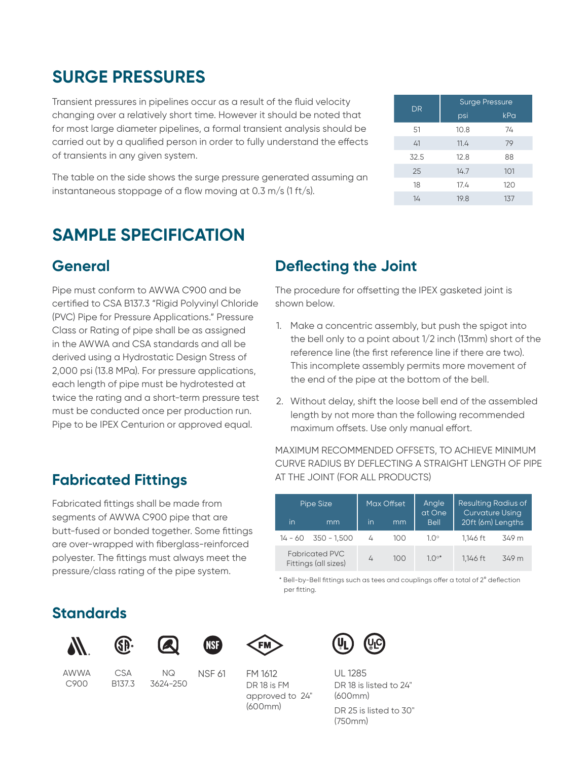| <b>DR</b> | <b>Surge Pressure</b> |     |  |  |  |  |  |
|-----------|-----------------------|-----|--|--|--|--|--|
|           | psi                   | kPa |  |  |  |  |  |
| 51        | 10.8                  | 74  |  |  |  |  |  |
| 41        | 11.4                  | 79  |  |  |  |  |  |
| 32.5      | 12.8                  | 88  |  |  |  |  |  |
| 25        | 14.7                  | 101 |  |  |  |  |  |
| 18        | 17.4                  | 120 |  |  |  |  |  |
| 14        | 19.8                  | 137 |  |  |  |  |  |

### **SURGE PRESSURES**

Transient pressures in pipelines occur as a result of the fluid velocity changing over a relatively short time. However it should be noted that for most large diameter pipelines, a formal transient analysis should be carried out by a qualified person in order to fully understand the effects of transients in any given system.

The table on the side shows the surge pressure generated assuming an instantaneous stoppage of a flow moving at 0.3 m/s (1 ft/s).

## **SAMPLE SPECIFICATION**

### **General**

Pipe must conform to AWWA C900 and be certified to CSA B137.3 "Rigid Polyvinyl Chloride (PVC) Pipe for Pressure Applications." Pressure Class or Rating of pipe shall be as assigned in the AWWA and CSA standards and all be derived using a Hydrostatic Design Stress of 2,000 psi (13.8 MPa). For pressure applications, each length of pipe must be hydrotested at twice the rating and a short-term pressure test must be conducted once per production run. Pipe to be IPEX Centurion or approved equal.

### **Fabricated Fittings**

Fabricated fittings shall be made from segments of AWWA C900 pipe that are butt-fused or bonded together. Some fittings are over-wrapped with fiberglass-reinforced polyester. The fittings must always meet the pressure/class rating of the pipe system.

### **Deflecting the Joint**

The procedure for offsetting the IPEX gasketed joint is shown below.

- 1. Make a concentric assembly, but push the spigot into the bell only to a point about 1/2 inch (13mm) short of the reference line (the first reference line if there are two). This incomplete assembly permits more movement of the end of the pipe at the bottom of the bell.
- 2. Without delay, shift the loose bell end of the assembled length by not more than the following recommended maximum offsets. Use only manual effort.

#### MAXIMUM RECOMMENDED OFFSETS, TO ACHIEVE MINIMUM CURVE RADIUS BY DEFLECTING A STRAIGHT LENGTH OF PIPE AT THE JOINT (FOR ALL PRODUCTS)

|    | Pipe Size                                     |    | Max Offset | Angle<br>at One | <b>Resulting Radius of</b><br>Curvature Using |       |  |  |  |  |
|----|-----------------------------------------------|----|------------|-----------------|-----------------------------------------------|-------|--|--|--|--|
| in | mm                                            | in | mm         | <b>Bell</b>     | 20ft (6m) Lengths                             |       |  |  |  |  |
|    | $14 - 60$ 350 - 1.500                         | 4  | 100        | $1.0^\circ$     | 1.146 ft                                      | 349 m |  |  |  |  |
|    | <b>Fabricated PVC</b><br>Fittings (all sizes) | 4  | 100        | $10^{\circ*}$   | 1.146 ft                                      | 349 m |  |  |  |  |

\* Bell-by-Bell fittings such as tees and couplings offer a total of 2° deflection per fitting.

### **Standards**



AWWA C900



CSA B137.3



NQ 3624-250



NSF 61



FM 1612 UL 1285 DR 18 is FM approved to 24" (600mm)



DR 18 is listed to 24" (600mm) DR 25 is listed to 30" (750mm)